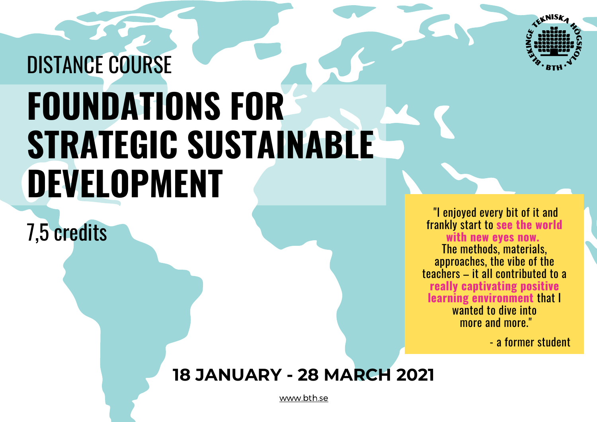

# **FOUNDATIONS FOR STRATEGIC SUSTAINABLE DEVELOPMENT** DISTANCE COURSE

7,5 credits

 "I enjoyed every bit of it and frankly start to **see the world with new eyes now.**  The methods, materials, approaches, the vibe of the teachers – it all contributed to a **really captivating positive learning environment** that I wanted to dive into more and more."

- a former student

### **18 JANUARY - 28 MARCH 2021**

[www.bth.se](https://www.bth.se/eng/courses/G5829/20211/)